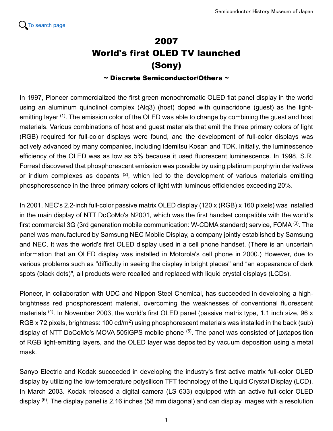## 2007 World's first OLED TV launched (Sony)

## $\sim$  Discrete Semiconductor/Others  $\sim$

In 1997, Pioneer commercialized the first green monochromatic OLED flat panel display in the world using an aluminum quinolinol complex (Alq3) (host) doped with quinacridone (guest) as the lightemitting layer <sup>(1)</sup>. The emission color of the OLED was able to change by combining the quest and host materials. Various combinations of host and guest materials that emit the three primary colors of light (RGB) required for full-color displays were found, and the development of full-color displays was actively advanced by many companies, including Idemitsu Kosan and TDK. Initially, the luminescence efficiency of the OLED was as low as 5% because it used fluorescent luminescence. In 1998, S.R. Forrest discovered that phosphorescent emission was possible by using platinum porphyrin derivatives or iridium complexes as dopants  $(2)$ , which led to the development of various materials emitting phosphorescence in the three primary colors of light with luminous efficiencies exceeding 20%.

In 2001, NEC's 2.2-inch full-color passive matrix OLED display (120 x (RGB) x 160 pixels) was installed in the main display of NTT DoCoMo's N2001, which was the first handset compatible with the world's first commercial 3G (3rd generation mobile communication: W-CDMA standard) service, FOMA (3). The panel was manufactured by Samsung NEC Mobile Display, a company jointly established by Samsung and NEC. It was the world's first OLED display used in a cell phone handset. (There is an uncertain information that an OLED display was installed in Motorola's cell phone in 2000.) However, due to various problems such as "difficulty in seeing the display in bright places" and "an appearance of dark spots (black dots)", all products were recalled and replaced with liquid crystal displays (LCDs).

Pioneer, in collaboration with UDC and Nippon Steel Chemical, has succeeded in developing a highbrightness red phosphorescent material, overcoming the weaknesses of conventional fluorescent materials <sup>(4)</sup>. In November 2003, the world's first OLED panel (passive matrix type, 1.1 inch size, 96 x RGB x 72 pixels, brightness: 100 cd/m<sup>2</sup>) using phosphorescent materials was installed in the back (sub) display of NTT DoCoMo's MOVA 505 $GPS$  mobile phone  $(5)$ . The panel was consisted of juxtaposition of RGB light-emitting layers, and the OLED layer was deposited by vacuum deposition using a metal mask.

Sanyo Electric and Kodak succeeded in developing the industry's first active matrix full-color OLED display by utilizing the low-temperature polysilicon TFT technology of the Liquid Crystal Display (LCD). In March 2003. Kodak released a digital camera (LS 633) equipped with an active full-color OLED display  $^{(6)}$ . The display panel is 2.16 inches (58 mm diagonal) and can display images with a resolution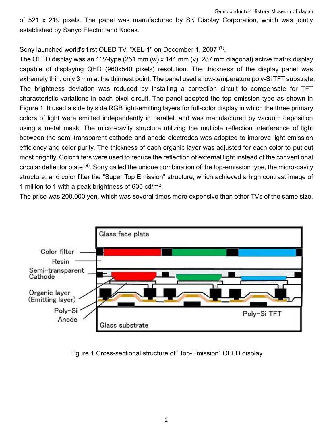of 521 x 219 pixels. The panel was manufactured by SK Display Corporation, which was jointly established by Sanyo Electric and Kodak.

Sony launched world's first OLED TV, "XEL-1" on December 1, 2007<sup>(7)</sup>.

The OLED display was an 11V-type (251 mm (w) x 141 mm (v), 287 mm diagonal) active matrix display capable of displaying QHD (960x540 pixels) resolution. The thickness of the display panel was extremely thin, only 3 mm at the thinnest point. The panel used a low-temperature poly-Si TFT substrate. The brightness deviation was reduced by installing a correction circuit to compensate for TFT characteristic variations in each pixel circuit. The panel adopted the top emission type as shown in Figure 1. It used a side by side RGB light-emitting layers for full-color display in which the three primary colors of light were emitted independently in parallel, and was manufactured by vacuum deposition using a metal mask. The micro-cavity structure utilizing the multiple reflection interference of light between the semi-transparent cathode and anode electrodes was adopted to improve light emission efficiency and color purity. The thickness of each organic layer was adjusted for each color to put out most brightly. Color filters were used to reduce the reflection of external light instead of the conventional circular deflector plate  $(8)$ . Sony called the unique combination of the top-emission type, the micro-cavity structure, and color filter the "Super Top Emission" structure, which achieved a high contrast image of 1 million to 1 with a peak brightness of 600  $\text{cd/m}^2$ .

The price was 200,000 yen, which was several times more expensive than other TVs of the same size.



Figure 1 Cross-sectional structure of "Top-Emission" OLED display